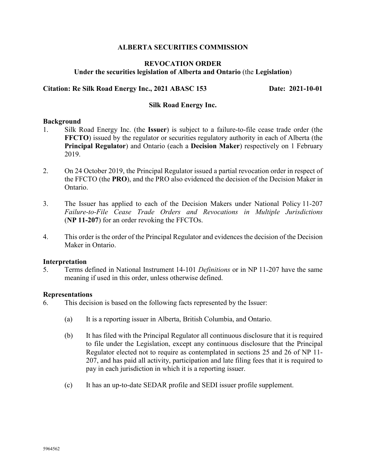## **ALBERTA SECURITIES COMMISSION**

# **REVOCATION ORDER Under the securities legislation of Alberta and Ontario** (the **Legislation**)

## **Citation: Re Silk Road Energy Inc., 2021 ABASC 153 Date: 2021-10-01**

### **Silk Road Energy Inc.**

### **Background**

- 1. Silk Road Energy Inc. (the **Issuer**) is subject to a failure-to-file cease trade order (the **FFCTO**) issued by the regulator or securities regulatory authority in each of Alberta (the **Principal Regulator**) and Ontario (each a **Decision Maker**) respectively on 1 February 2019.
- 2. On 24 October 2019, the Principal Regulator issued a partial revocation order in respect of the FFCTO (the **PRO**), and the PRO also evidenced the decision of the Decision Maker in Ontario.
- 3. The Issuer has applied to each of the Decision Makers under National Policy 11-207 *Failure-to-File Cease Trade Orders and Revocations in Multiple Jurisdictions* (**NP 11-207**) for an order revoking the FFCTOs.
- 4. This order is the order of the Principal Regulator and evidences the decision of the Decision Maker in Ontario.

### **Interpretation**

5. Terms defined in National Instrument 14-101 *Definitions* or in NP 11-207 have the same meaning if used in this order, unless otherwise defined.

### **Representations**

- 6. This decision is based on the following facts represented by the Issuer:
	- (a) It is a reporting issuer in Alberta, British Columbia, and Ontario.
	- (b) It has filed with the Principal Regulator all continuous disclosure that it is required to file under the Legislation, except any continuous disclosure that the Principal Regulator elected not to require as contemplated in sections 25 and 26 of NP 11- 207, and has paid all activity, participation and late filing fees that it is required to pay in each jurisdiction in which it is a reporting issuer.
	- (c) It has an up-to-date SEDAR profile and SEDI issuer profile supplement.